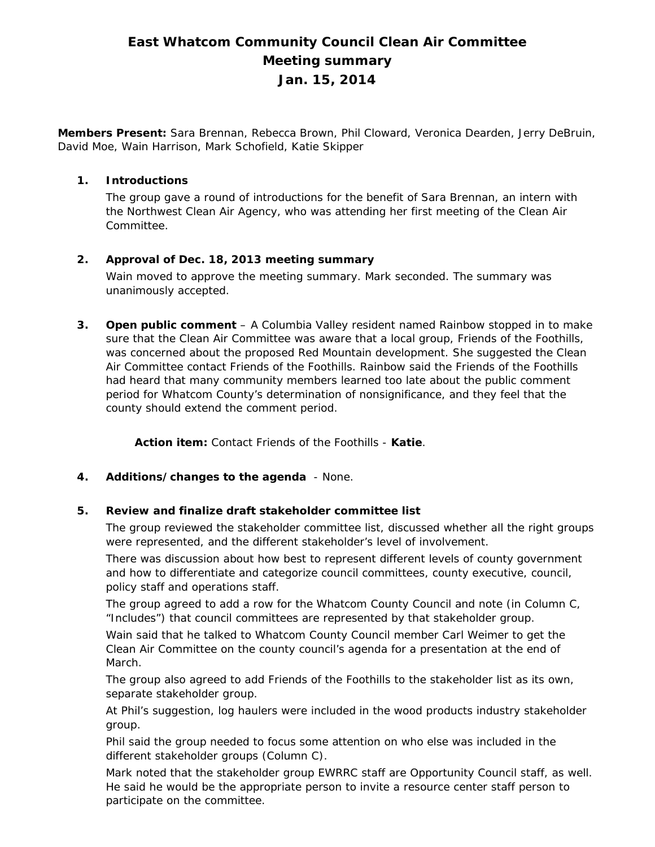# **East Whatcom Community Council Clean Air Committee Meeting summary Jan. 15, 2014**

**Members Present:** Sara Brennan, Rebecca Brown, Phil Cloward, Veronica Dearden, Jerry DeBruin, David Moe, Wain Harrison, Mark Schofield, Katie Skipper

## **1. Introductions**

The group gave a round of introductions for the benefit of Sara Brennan, an intern with the Northwest Clean Air Agency, who was attending her first meeting of the Clean Air Committee.

# **2. Approval of Dec. 18, 2013 meeting summary**

Wain moved to approve the meeting summary. Mark seconded. The summary was unanimously accepted.

**3. Open public comment** – A Columbia Valley resident named Rainbow stopped in to make sure that the Clean Air Committee was aware that a local group, Friends of the Foothills, was concerned about the proposed Red Mountain development. She suggested the Clean Air Committee contact Friends of the Foothills. Rainbow said the Friends of the Foothills had heard that many community members learned too late about the public comment period for Whatcom County's determination of nonsignificance, and they feel that the county should extend the comment period.

**Action item:** Contact Friends of the Foothills - **Katie**.

# **4. Additions/changes to the agenda** - None.

## **5. Review and finalize draft stakeholder committee list**

The group reviewed the stakeholder committee list, discussed whether all the right groups were represented, and the different stakeholder's level of involvement.

There was discussion about how best to represent different levels of county government and how to differentiate and categorize council committees, county executive, council, policy staff and operations staff.

The group agreed to add a row for the Whatcom County Council and note (in Column C, "Includes") that council committees are represented by that stakeholder group.

Wain said that he talked to Whatcom County Council member Carl Weimer to get the Clean Air Committee on the county council's agenda for a presentation at the end of March.

The group also agreed to add Friends of the Foothills to the stakeholder list as its own, separate stakeholder group.

At Phil's suggestion, log haulers were included in the wood products industry stakeholder group.

Phil said the group needed to focus some attention on who else was included in the different stakeholder groups (Column C).

Mark noted that the stakeholder group EWRRC staff are Opportunity Council staff, as well. He said he would be the appropriate person to invite a resource center staff person to participate on the committee.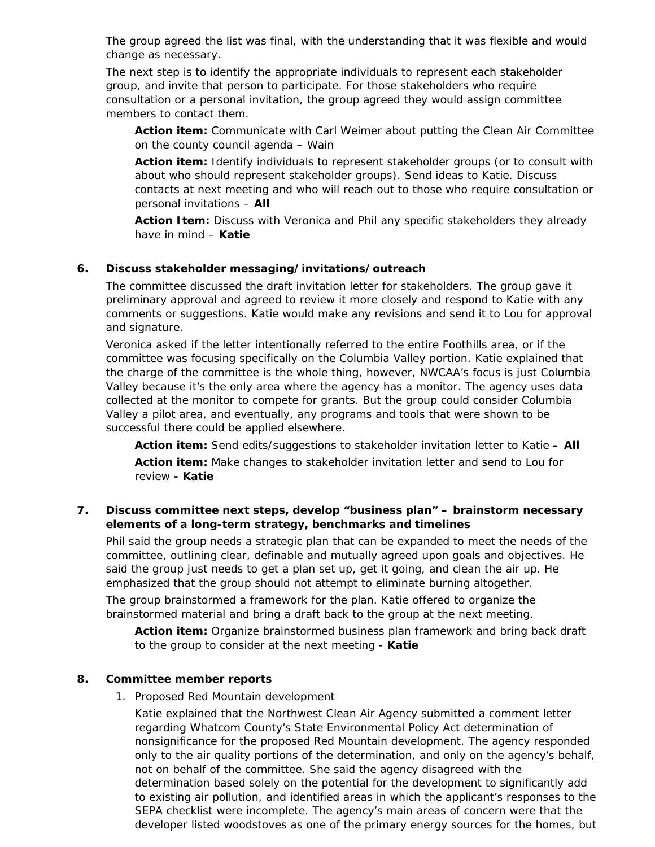The group agreed the list was final, with the understanding that it was flexible and would change as necessary.

The next step is to identify the appropriate individuals to represent each stakeholder group, and invite that person to participate. For those stakeholders who require consultation or a personal invitation, the group agreed they would assign committee members to contact them.

**Action item:** Communicate with Carl Weimer about putting the Clean Air Committee on the county council agenda – Wain

**Action item:** Identify individuals to represent stakeholder groups (or to consult with about who should represent stakeholder groups). Send ideas to Katie. Discuss contacts at next meeting and who will reach out to those who require consultation or personal invitations – **All** 

**Action Item:** Discuss with Veronica and Phil any specific stakeholders they already have in mind – **Katie** 

## **6. Discuss stakeholder messaging/invitations/outreach**

The committee discussed the draft invitation letter for stakeholders. The group gave it preliminary approval and agreed to review it more closely and respond to Katie with any comments or suggestions. Katie would make any revisions and send it to Lou for approval and signature.

Veronica asked if the letter intentionally referred to the entire Foothills area, or if the committee was focusing specifically on the Columbia Valley portion. Katie explained that the charge of the committee is the whole thing, however, NWCAA's focus is just Columbia Valley because it's the only area where the agency has a monitor. The agency uses data collected at the monitor to compete for grants. But the group could consider Columbia Valley a pilot area, and eventually, any programs and tools that were shown to be successful there could be applied elsewhere.

**Action item:** Send edits/suggestions to stakeholder invitation letter to Katie **– All Action item:** Make changes to stakeholder invitation letter and send to Lou for review **- Katie**

## **7. Discuss committee next steps, develop "business plan" – brainstorm necessary elements of a long-term strategy, benchmarks and timelines**

Phil said the group needs a strategic plan that can be expanded to meet the needs of the committee, outlining clear, definable and mutually agreed upon goals and objectives. He said the group just needs to get a plan set up, get it going, and clean the air up. He emphasized that the group should not attempt to eliminate burning altogether.

The group brainstormed a framework for the plan. Katie offered to organize the brainstormed material and bring a draft back to the group at the next meeting.

**Action item:** Organize brainstormed business plan framework and bring back draft to the group to consider at the next meeting - **Katie**

## **8. Committee member reports**

1. Proposed Red Mountain development

Katie explained that the Northwest Clean Air Agency submitted a comment letter regarding Whatcom County's State Environmental Policy Act determination of nonsignificance for the proposed Red Mountain development. The agency responded only to the air quality portions of the determination, and only on the agency's behalf, not on behalf of the committee. She said the agency disagreed with the determination based solely on the potential for the development to significantly add to existing air pollution, and identified areas in which the applicant's responses to the SEPA checklist were incomplete. The agency's main areas of concern were that the developer listed woodstoves as one of the primary energy sources for the homes, but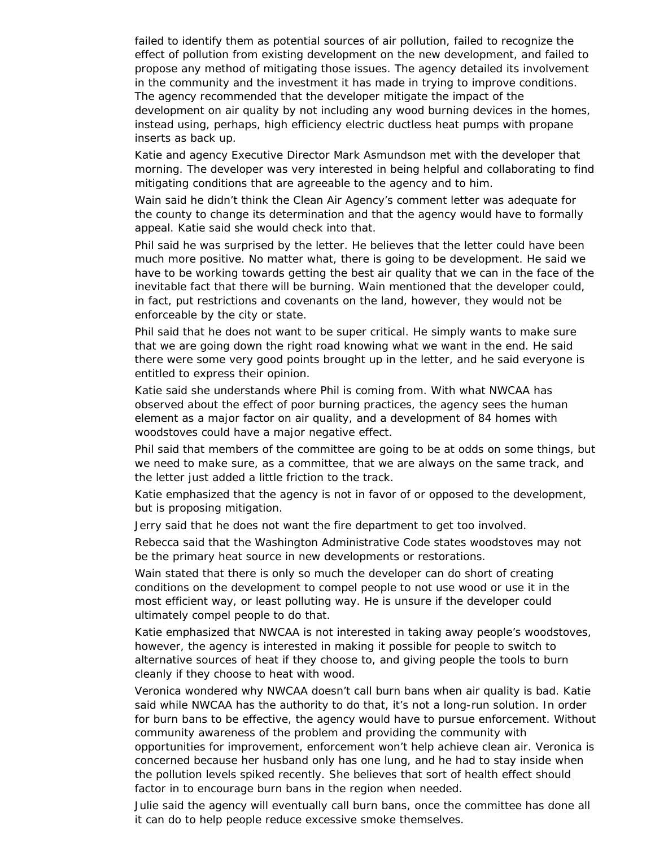failed to identify them as potential sources of air pollution, failed to recognize the effect of pollution from existing development on the new development, and failed to propose any method of mitigating those issues. The agency detailed its involvement in the community and the investment it has made in trying to improve conditions. The agency recommended that the developer mitigate the impact of the development on air quality by not including any wood burning devices in the homes, instead using, perhaps, high efficiency electric ductless heat pumps with propane inserts as back up.

Katie and agency Executive Director Mark Asmundson met with the developer that morning. The developer was very interested in being helpful and collaborating to find mitigating conditions that are agreeable to the agency and to him.

Wain said he didn't think the Clean Air Agency's comment letter was adequate for the county to change its determination and that the agency would have to formally appeal. Katie said she would check into that.

Phil said he was surprised by the letter. He believes that the letter could have been much more positive. No matter what, there is going to be development. He said we have to be working towards getting the best air quality that we can in the face of the inevitable fact that there will be burning. Wain mentioned that the developer could, in fact, put restrictions and covenants on the land, however, they would not be enforceable by the city or state.

Phil said that he does not want to be super critical. He simply wants to make sure that we are going down the right road knowing what we want in the end. He said there were some very good points brought up in the letter, and he said everyone is entitled to express their opinion.

Katie said she understands where Phil is coming from. With what NWCAA has observed about the effect of poor burning practices, the agency sees the human element as a major factor on air quality, and a development of 84 homes with woodstoves could have a major negative effect.

Phil said that members of the committee are going to be at odds on some things, but we need to make sure, as a committee, that we are always on the same track, and the letter just added a little friction to the track.

Katie emphasized that the agency is not in favor of or opposed to the development, but is proposing mitigation.

Jerry said that he does not want the fire department to get too involved.

Rebecca said that the Washington Administrative Code states woodstoves may not be the primary heat source in new developments or restorations.

Wain stated that there is only so much the developer can do short of creating conditions on the development to compel people to not use wood or use it in the most efficient way, or least polluting way. He is unsure if the developer could ultimately compel people to do that.

Katie emphasized that NWCAA is not interested in taking away people's woodstoves, however, the agency is interested in making it possible for people to switch to alternative sources of heat if they choose to, and giving people the tools to burn cleanly if they choose to heat with wood.

Veronica wondered why NWCAA doesn't call burn bans when air quality is bad. Katie said while NWCAA has the authority to do that, it's not a long-run solution. In order for burn bans to be effective, the agency would have to pursue enforcement. Without community awareness of the problem and providing the community with opportunities for improvement, enforcement won't help achieve clean air. Veronica is concerned because her husband only has one lung, and he had to stay inside when the pollution levels spiked recently. She believes that sort of health effect should factor in to encourage burn bans in the region when needed.

Julie said the agency will eventually call burn bans, once the committee has done all it can do to help people reduce excessive smoke themselves.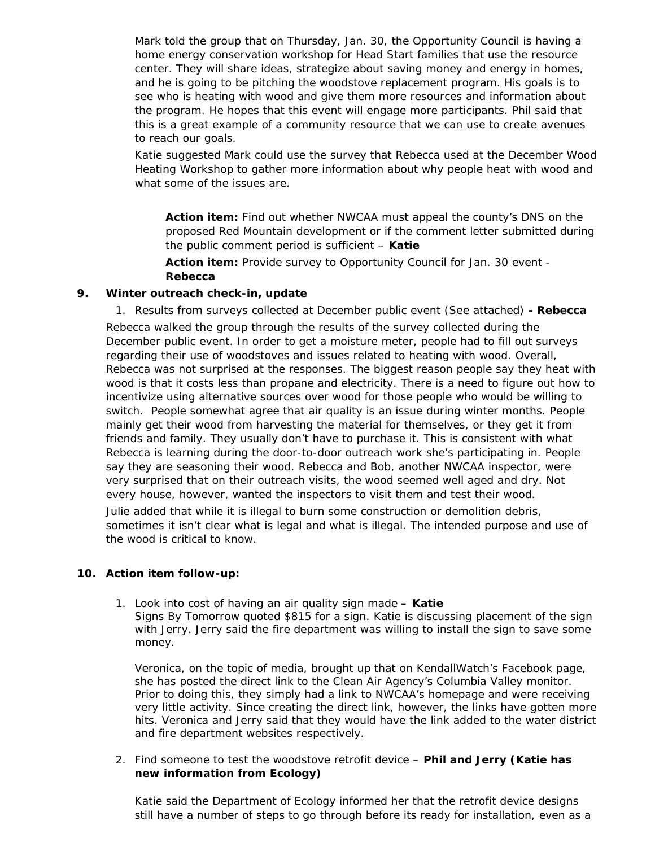Mark told the group that on Thursday, Jan. 30, the Opportunity Council is having a home energy conservation workshop for Head Start families that use the resource center. They will share ideas, strategize about saving money and energy in homes, and he is going to be pitching the woodstove replacement program. His goals is to see who is heating with wood and give them more resources and information about the program. He hopes that this event will engage more participants. Phil said that this is a great example of a community resource that we can use to create avenues to reach our goals.

Katie suggested Mark could use the survey that Rebecca used at the December Wood Heating Workshop to gather more information about why people heat with wood and what some of the issues are.

**Action item:** Find out whether NWCAA must appeal the county's DNS on the proposed Red Mountain development or if the comment letter submitted during the public comment period is sufficient – **Katie** 

**Action item:** Provide survey to Opportunity Council for Jan. 30 event - **Rebecca**

## **9. Winter outreach check-in, update**

1. Results from surveys collected at December public event (See attached) **- Rebecca** 

Rebecca walked the group through the results of the survey collected during the December public event. In order to get a moisture meter, people had to fill out surveys regarding their use of woodstoves and issues related to heating with wood. Overall, Rebecca was not surprised at the responses. The biggest reason people say they heat with wood is that it costs less than propane and electricity. There is a need to figure out how to incentivize using alternative sources over wood for those people who would be willing to switch. People somewhat agree that air quality is an issue during winter months. People mainly get their wood from harvesting the material for themselves, or they get it from friends and family. They usually don't have to purchase it. This is consistent with what Rebecca is learning during the door-to-door outreach work she's participating in. People say they are seasoning their wood. Rebecca and Bob, another NWCAA inspector, were very surprised that on their outreach visits, the wood seemed well aged and dry. Not every house, however, wanted the inspectors to visit them and test their wood.

Julie added that while it is illegal to burn some construction or demolition debris, sometimes it isn't clear what is legal and what is illegal. The intended purpose and use of the wood is critical to know.

## **10. Action item follow-up:**

1. Look into cost of having an air quality sign made **– Katie**  Signs By Tomorrow quoted \$815 for a sign. Katie is discussing placement of the sign with Jerry. Jerry said the fire department was willing to install the sign to save some money.

Veronica, on the topic of media, brought up that on KendallWatch's Facebook page, she has posted the direct link to the Clean Air Agency's Columbia Valley monitor. Prior to doing this, they simply had a link to NWCAA's homepage and were receiving very little activity. Since creating the direct link, however, the links have gotten more hits. Veronica and Jerry said that they would have the link added to the water district and fire department websites respectively.

2. Find someone to test the woodstove retrofit device – **Phil and Jerry (Katie has new information from Ecology)**

Katie said the Department of Ecology informed her that the retrofit device designs still have a number of steps to go through before its ready for installation, even as a